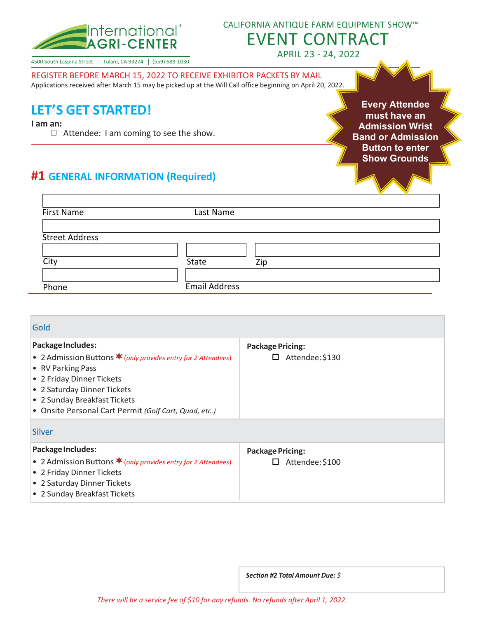

#### CALIFORNIA ANTIQUE FARM EQUIPMENT SHOW™

EVENT CONTRACT APRIL 23 - 24, 2022

4500 South Laspina Street | Tulare, CA 93274 | (559) 688-1030

REGISTER BEFORE MARCH 15, 2022 TO RECEIVE EXHIBITOR PACKETS BY MAIL

Applications received after March 15 may be picked up at the Will Call office beginning on April 20, 2022.

# **LET'S GET STARTED!**

**I am an:**

 $\Box$  Attendee: I am coming to see the show.

**Every Attendee must have an Admission Wrist Band or Admission Button to enter Show Grounds**

## **#1 GENERAL INFORMATION (Required)**

| First Name            | Last Name     |     |
|-----------------------|---------------|-----|
|                       |               |     |
| <b>Street Address</b> |               |     |
|                       |               |     |
| City                  | State         | Zip |
|                       |               |     |
| Phone                 | Email Address |     |

| Gold                                                                                                                                                                                                                                                           |                                                 |
|----------------------------------------------------------------------------------------------------------------------------------------------------------------------------------------------------------------------------------------------------------------|-------------------------------------------------|
| Package Includes:<br>• 2 Admission Buttons $*$ (only provides entry for 2 Attendees)<br>• RV Parking Pass<br>• 2 Friday Dinner Tickets<br>• 2 Saturday Dinner Tickets<br>• 2 Sunday Breakfast Tickets<br>• Onsite Personal Cart Permit (Golf Cart, Quad, etc.) | <b>Package Pricing:</b><br>Attendee: \$130<br>□ |
| Silver                                                                                                                                                                                                                                                         |                                                 |
| Package Includes:<br>• 2 Admission Buttons * (only provides entry for 2 Attendees)<br>• 2 Friday Dinner Tickets<br>• 2 Saturday Dinner Tickets<br>• 2 Sunday Breakfast Tickets                                                                                 | <b>Package Pricing:</b><br>Attendee: \$100      |

*Section #2 Total Amount Due: \$*